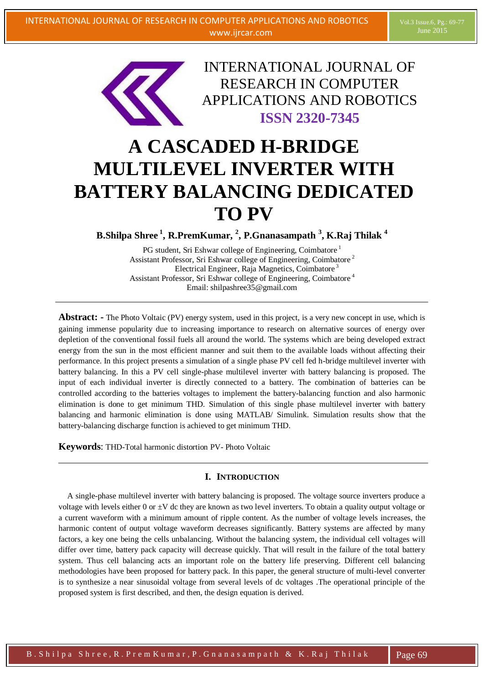

INTERNATIONAL JOURNAL OF RESEARCH IN COMPUTER APPLICATIONS AND ROBOTICS **ISSN 2320-7345**

# **A CASCADED H-BRIDGE MULTILEVEL INVERTER WITH BATTERY BALANCING DEDICATED TO PV**

**B.Shilpa Shree <sup>1</sup> , R.PremKumar, 2 , P.Gnanasampath <sup>3</sup> , K.Raj Thilak <sup>4</sup>**

PG student, Sri Eshwar college of Engineering, Coimbatore<sup>1</sup> Assistant Professor, Sri Eshwar college of Engineering, Coimbatore<sup>2</sup> Electrical Engineer, Raja Magnetics, Coimbatore<sup>3</sup> Assistant Professor, Sri Eshwar college of Engineering, Coimbatore <sup>4</sup> Email: shilpashree35@gmail.com

**Abstract:** - The Photo Voltaic (PV) energy system, used in this project, is a very new concept in use, which is gaining immense popularity due to increasing importance to research on alternative sources of energy over depletion of the conventional fossil fuels all around the world. The systems which are being developed extract energy from the sun in the most efficient manner and suit them to the available loads without affecting their performance. In this project presents a simulation of a single phase PV cell fed h-bridge multilevel inverter with battery balancing. In this a PV cell single-phase multilevel inverter with battery balancing is proposed. The input of each individual inverter is directly connected to a battery. The combination of batteries can be controlled according to the batteries voltages to implement the battery-balancing function and also harmonic elimination is done to get minimum THD. Simulation of this single phase multilevel inverter with battery balancing and harmonic elimination is done using MATLAB/ Simulink. Simulation results show that the battery-balancing discharge function is achieved to get minimum THD.

**Keywords**: THD-Total harmonic distortion PV- Photo Voltaic

# **I. INTRODUCTION**

A single-phase multilevel inverter with battery balancing is proposed. The voltage source inverters produce a voltage with levels either 0 or  $\pm V$  dc they are known as two level inverters. To obtain a quality output voltage or a current waveform with a minimum amount of ripple content. As the number of voltage levels increases, the harmonic content of output voltage waveform decreases significantly. Battery systems are affected by many factors, a key one being the cells unbalancing. Without the balancing system, the individual cell voltages will differ over time, battery pack capacity will decrease quickly. That will result in the failure of the total battery system. Thus cell balancing acts an important role on the battery life preserving. Different cell balancing methodologies have been proposed for battery pack. In this paper, the general structure of multi-level converter is to synthesize a near sinusoidal voltage from several levels of dc voltages .The operational principle of the proposed system is first described, and then, the design equation is derived.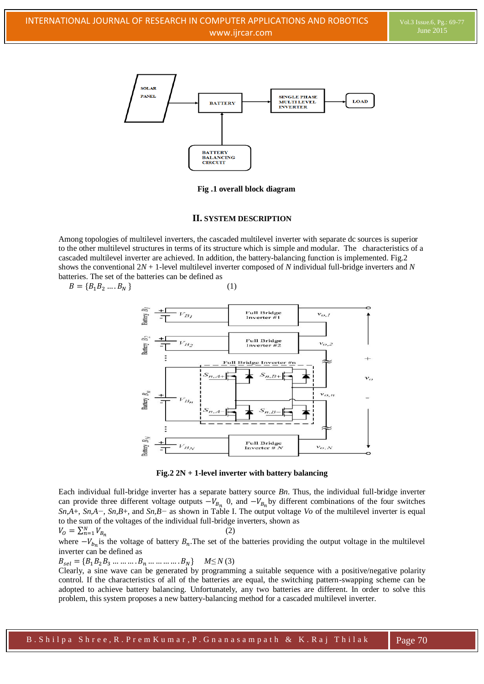

**Fig .1 overall block diagram**

#### **II. SYSTEM DESCRIPTION**

Among topologies of multilevel inverters, the cascaded multilevel inverter with separate dc sources is superior to the other multilevel structures in terms of its structure which is simple and modular. The characteristics of a cascaded multilevel inverter are achieved. In addition, the battery-balancing function is implemented. Fig.2 shows the conventional 2*N* + 1-level multilevel inverter composed of *N* individual full-bridge inverters and *N*  batteries. The set of the batteries can be defined as

$$
B = \{B_1 B_2 \dots B_N\}
$$
 (1)



**Fig.2 2N + 1-level inverter with battery balancing**

Each individual full-bridge inverter has a separate battery source *Bn*. Thus, the individual full-bridge inverter can provide three different voltage outputs  $-V_{B_n}$ , 0, and  $-V_{B_n}$  by different combinations of the four switches *Sn,A*+, *Sn,A−*, *Sn,B*+, and *Sn,B−* as shown in Table I. The output voltage *Vo* of the multilevel inverter is equal to the sum of the voltages of the individual full-bridge inverters, shown as

$$
V_0 = \sum_{n=1}^{N} V_{B_n} \tag{2}
$$

where  $-V_{b_n}$  is the voltage of battery  $B_n$ . The set of the batteries providing the output voltage in the multilevel inverter can be defined as

 $B_{sel} = \{B_1B_2B_3 \dots \dots \dots B_n \dots \dots \dots B_N\}$   $M \le N(3)$ 

Clearly, a sine wave can be generated by programming a suitable sequence with a positive/negative polarity control. If the characteristics of all of the batteries are equal, the switching pattern-swapping scheme can be adopted to achieve battery balancing. Unfortunately, any two batteries are different. In order to solve this problem, this system proposes a new battery-balancing method for a cascaded multilevel inverter.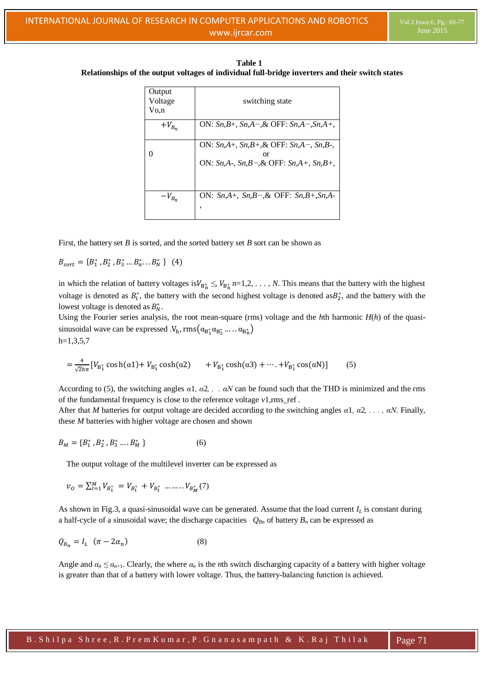**Table 1 Relationships of the output voltages of individual full-bridge inverters and their switch states**

| Output<br>Voltage<br>Vo.n | switching state                                                                                          |
|---------------------------|----------------------------------------------------------------------------------------------------------|
| $+V_{B_n}$                | ON: $Sn, B+, Sn, A-, \&$ OFF: $Sn, A-, Sn, A+,$                                                          |
|                           | ON: $Sn, A+, Sn, B+, \&$ OFF: $Sn, A-, Sn, B-,$<br>or<br>ON: $Sn, A-, Sn, B-, \&$ OFF: $Sn, A+, Sn, B+,$ |
| $-V_{B_n}$                | ON: $Sn, A+, Sn, B-, \&$ OFF: $Sn, B+, Sn, A-$<br>,                                                      |

First, the battery set *B* is sorted, and the sorted battery set *B* sort can be shown as

 $B_{sort} = \{B_1^*, B_2^*, B_3^*, \ldots B_n^*, \ldots B_N^*\}$ 

in which the relation of battery voltages is  $V_{B_n^*} \leq V_{B_n^*} n=1,2,\ldots,N$ . This means that the battery with the highest voltage is denoted as  $B_1^*$ , the battery with the second highest voltage is denoted as  $B_2^*$ , and the battery with the lowest voltage is denoted as  $B_N^*$ .

Using the Fourier series analysis, the root mean-square (rms) voltage and the  $h$ th harmonic  $H(h)$  of the quasisinusoidal wave can be expressed  $.V_h$ , rms $(\alpha_{B_1^*}\alpha_{B_2^*}\dots \alpha_{B_n^*})$  $h=1,3,5,7$ 

$$
= \frac{4}{\sqrt{2}h\pi} \left[ V_{B_1^*} \cos h(\alpha 1) + V_{B_1^*} \cosh(\alpha 2) + V_{B_1^*} \cosh(\alpha 3) + \dots + V_{B_1^*} \cos(\alpha N) \right] \tag{5}
$$

According to (5), the switching angles *α*1*, α*2*, . . αN* can be found such that the THD is minimized and the rms of the fundamental frequency is close to the reference voltage *v*1*,*rms\_ref .

After that *M* batteries for output voltage are decided according to the switching angles *α*1*, α*2*, . . . , αN*. Finally, these *M* batteries with higher voltage are chosen and shown

$$
B_M = \{B_1^*, B_2^*, B_3^*, \dots, B_M^*\}
$$
 (6)

The output voltage of the multilevel inverter can be expressed as

$$
v_o = \sum_{I=1}^{M} V_{B_1^*} = V_{B_1^*} + V_{B_1^*} \dots \dots \dots V_{B_M^*}(7)
$$

As shown in Fig.3, a quasi-sinusoidal wave can be generated. Assume that the load current *I<sup>L</sup>* is constant during a half-cycle of a sinusoidal wave; the discharge capacities  $Q_{Bn}$  of battery  $B_n$  can be expressed as

$$
Q_{B_n} = I_L \quad (\pi - 2\alpha_n) \tag{8}
$$

Angle and  $\alpha_n \leq \alpha_{n+1}$ . Clearly, the where  $\alpha_n$  is the *n*th switch discharging capacity of a battery with higher voltage is greater than that of a battery with lower voltage. Thus, the battery-balancing function is achieved.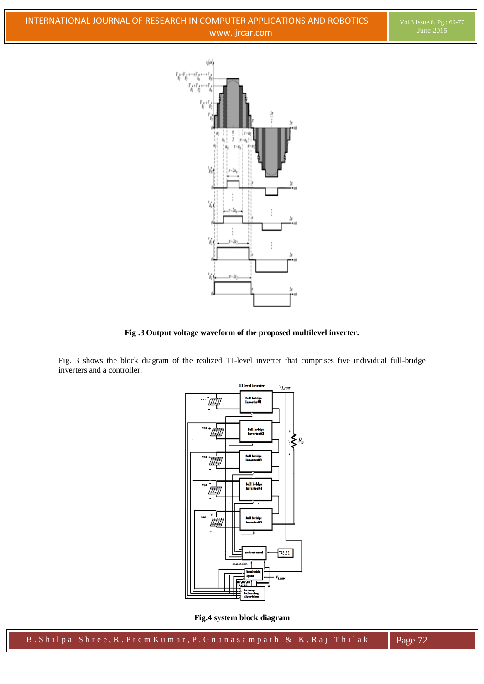

**Fig .3 Output voltage waveform of the proposed multilevel inverter.**

Fig. 3 shows the block diagram of the realized 11-level inverter that comprises five individual full-bridge inverters and a controller.



**Fig.4 system block diagram**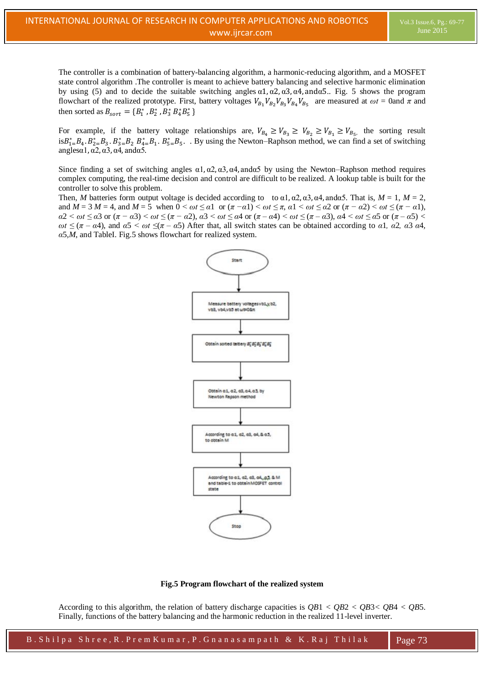The controller is a combination of battery-balancing algorithm, a harmonic-reducing algorithm, and a MOSFET state control algorithm .The controller is meant to achieve battery balancing and selective harmonic elimination by using (5) and to decide the suitable switching angles  $\alpha$ 1,  $\alpha$ 2,  $\alpha$ 3,  $\alpha$ 4, and $\alpha$ 5. Fig. 5 shows the program flowchart of the realized prototype. First, battery voltages  $V_{B_1}V_{B_2}V_{B_3}V_{B_4}V_{B_5}$  are measured at  $\omega t = 0$ and  $\pi$  and then sorted as  $B_{sort} = \{B_1^*, B_2^*, B_3^*, B_4^*, B_5^*\}$ 

For example, if the battery voltage relationships are,  $V_{B_1} \ge V_{B_2} \ge V_{B_3} \ge V_{B_4} \ge V_{B_5}$  the sorting result  $i s B_{1}^{*} = B_{4} B_{2}^{*} = B_{3} B_{3}^{*} = B_{2} B_{4}^{*} = B_{1} B_{5}^{*} = B_{5}$ . By using the Newton–Raphson method, we can find a set of switching  $angle 1, \alpha 2, \alpha 3, \alpha 4, \text{and} \alpha 5$ .

Since finding a set of switching angles  $\alpha$ 1,  $\alpha$ 2,  $\alpha$ 3,  $\alpha$ 4, and $\alpha$ 5 by using the Newton–Raphson method requires complex computing, the real-time decision and control are difficult to be realized. A lookup table is built for the controller to solve this problem.

Then, *M* batteries form output voltage is decided according to to  $\alpha$ 1,  $\alpha$ 2,  $\alpha$ 3,  $\alpha$ 4, and $\alpha$ 5. That is,  $M = 1$ ,  $M = 2$ , and  $M = 3$   $M = 4$ , and  $M = 5$  when  $0 \le \omega t \le \alpha 1$  or  $(\pi - \alpha 1) \le \omega t \le \pi$ ,  $\alpha 1 \le \omega t \le \alpha 2$  or  $(\pi - \alpha 2) \le \omega t \le (\pi - \alpha 1)$ ,  $\alpha$ 2 <  $\omega t \le \alpha$ 3 or  $(\pi - \alpha$ 3) <  $\omega t \le (\pi - \alpha)$ ,  $\alpha$ 3 <  $\omega t \le \alpha$ 4 or  $(\pi - \alpha)$  <  $\omega t \le (\pi - \alpha)$ ,  $\alpha$ 4 <  $\omega t \le \alpha$ 5 or  $(\pi - \alpha)$  < *ωt* ≤ (*π* – *α*4), and *α*5 < *ωt* ≤(*π* – *α*5) After that, all switch states can be obtained according to *α*1*, α*2*, α*3 *α*4*, α*5*,M*, and TableI. Fig.5 shows flowchart for realized system.



#### **Fig.5 Program flowchart of the realized system**

According to this algorithm, the relation of battery discharge capacities is *QB*1 *< QB*2 *< QB*3*< QB*4 *< QB*5. Finally, functions of the battery balancing and the harmonic reduction in the realized 11-level inverter.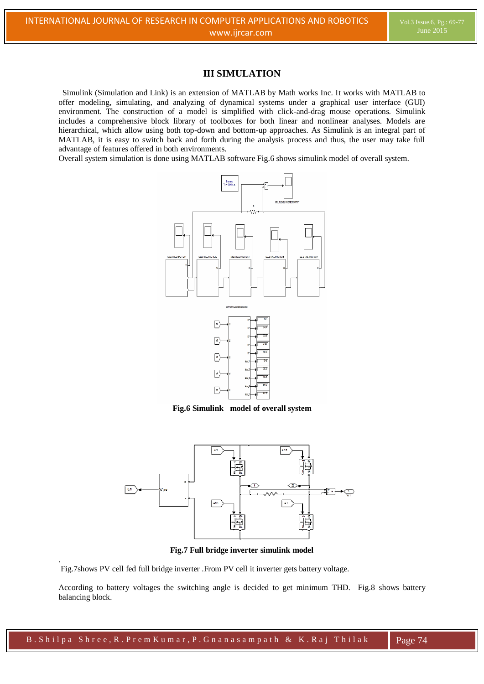# **III SIMULATION**

 Simulink (Simulation and Link) is an extension of MATLAB by Math works Inc. It works with MATLAB to offer modeling, simulating, and analyzing of dynamical systems under a graphical user interface (GUI) environment. The construction of a model is simplified with click-and-drag mouse operations. Simulink includes a comprehensive block library of toolboxes for both linear and nonlinear analyses. Models are hierarchical, which allow using both top-down and bottom-up approaches. As Simulink is an integral part of MATLAB, it is easy to switch back and forth during the analysis process and thus, the user may take full advantage of features offered in both environments.

Overall system simulation is done using MATLAB software Fig.6 shows simulink model of overall system.



**Fig.6 Simulink model of overall system**



**Fig.7 Full bridge inverter simulink model**

Fig.7shows PV cell fed full bridge inverter .From PV cell it inverter gets battery voltage.

.

According to battery voltages the switching angle is decided to get minimum THD. Fig.8 shows battery balancing block.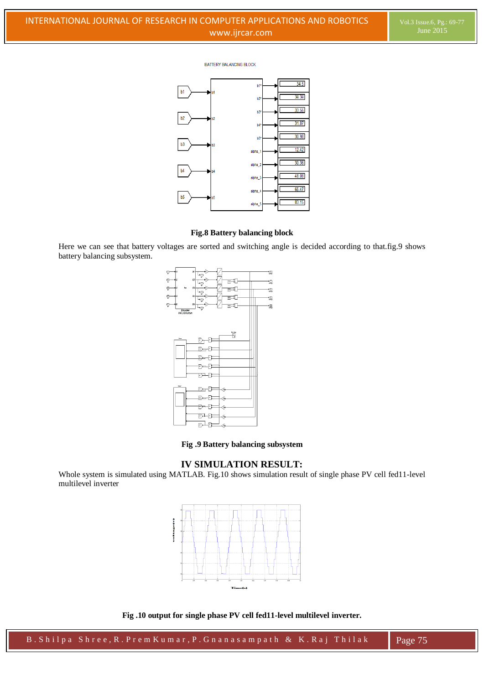#### **BATTERY BALANCING BLOCK**



# **Fig.8 Battery balancing block**

Here we can see that battery voltages are sorted and switching angle is decided according to that.fig.9 shows battery balancing subsystem.



**Fig .9 Battery balancing subsystem**

### **IV SIMULATION RESULT:**

Whole system is simulated using MATLAB. Fig.10 shows simulation result of single phase PV cell fed11-level multilevel inverter



**Fig .10 output for single phase PV cell fed11-level multilevel inverter.**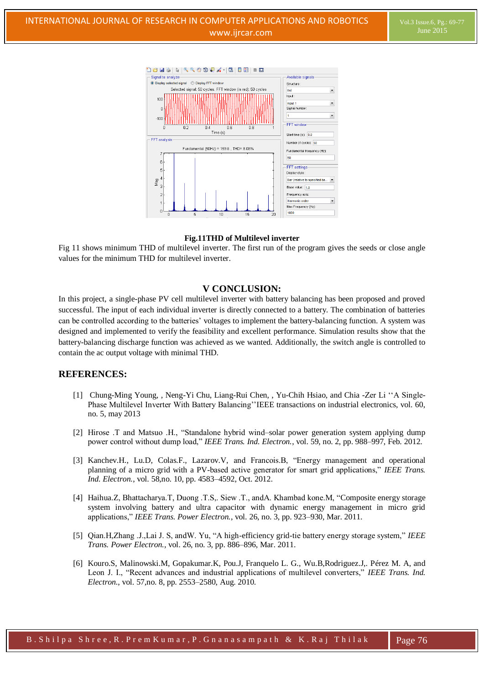

#### **Fig.11THD of Multilevel inverter**

Fig 11 shows minimum THD of multilevel inverter. The first run of the program gives the seeds or close angle values for the minimum THD for multilevel inverter.

#### **V CONCLUSION:**

In this project, a single-phase PV cell multilevel inverter with battery balancing has been proposed and proved successful. The input of each individual inverter is directly connected to a battery. The combination of batteries can be controlled according to the batteries' voltages to implement the battery-balancing function. A system was designed and implemented to verify the feasibility and excellent performance. Simulation results show that the battery-balancing discharge function was achieved as we wanted. Additionally, the switch angle is controlled to contain the ac output voltage with minimal THD.

# **REFERENCES:**

- [1] Chung-Ming Young, *,* Neng-Yi Chu, Liang-Rui Chen, , Yu-Chih Hsiao, and Chia -Zer Li ""A Single-Phase Multilevel Inverter With Battery Balancing" IEEE transactions on industrial electronics, vol. 60, no. 5, may 2013
- [2] Hirose .T and Matsuo .H., "Standalone hybrid wind–solar power generation system applying dump power control without dump load," *IEEE Trans. Ind. Electron.*, vol. 59, no. 2, pp. 988–997, Feb. 2012.
- [3] Kanchev.H., Lu.D, Colas.F., Lazarov.V, and Francois.B, "Energy management and operational planning of a micro grid with a PV-based active generator for smart grid applications," *IEEE Trans. Ind. Electron.*, vol. 58,no. 10, pp. 4583–4592, Oct. 2012.
- [4] Haihua.Z, Bhattacharya.T, Duong .T.S,. Siew .T., and A. Khambad kone.M, "Composite energy storage system involving battery and ultra capacitor with dynamic energy management in micro grid pplic tions," *IEEE Trans. Power Electron.*, vol. 26, no. 3, pp. 923–930, Mar. 2011.
- [5] Qi n.H,Zh ng .J.,L i J. S, ndW. Yu, "A high-efficiency grid-tie b ttery energy stor ge system," *IEEE Trans. Power Electron.*, vol. 26, no. 3, pp. 886–896, Mar. 2011.
- [6] Kouro.S, Malinowski.M, Gopakumar.K, Pou.J, Franquelo L. G., Wu.B,Rodriguez.J,. Pérez M. A, and Leon J. I., "Recent advances and industrial applications of multilevel converters," IEEE Trans. Ind. *Electron.*, vol. 57,no. 8, pp. 2553–2580, Aug. 2010.